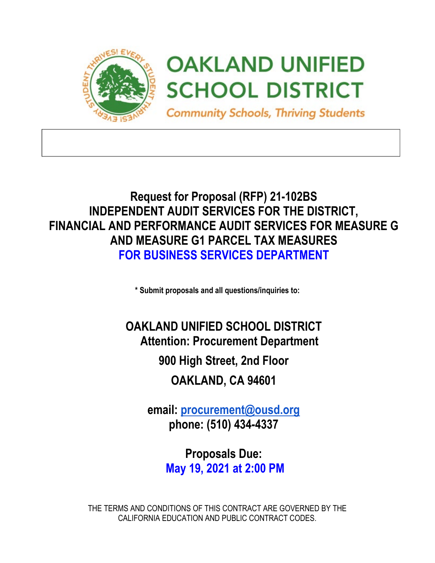

# **Request for Proposal (RFP) 21-102BS INDEPENDENT AUDIT SERVICES FOR THE DISTRICT, FINANCIAL AND PERFORMANCE AUDIT SERVICES FOR MEASURE G AND MEASURE G1 PARCEL TAX MEASURES FOR BUSINESS SERVICES DEPARTMENT**

**\* Submit proposals and all questions/inquiries to:**

**OAKLAND UNIFIED SCHOOL DISTRICT Attention: Procurement Department**

**900 High Street, 2nd Floor**

**OAKLAND, CA 94601**

**email: [procurement@ousd.org](mailto:procurement@ousd.org) phone: (510) 434-4337**

> **Proposals Due: May 19, 2021 at 2:00 PM**

THE TERMS AND CONDITIONS OF THIS CONTRACT ARE GOVERNED BY THE CALIFORNIA EDUCATION AND PUBLIC CONTRACT CODES.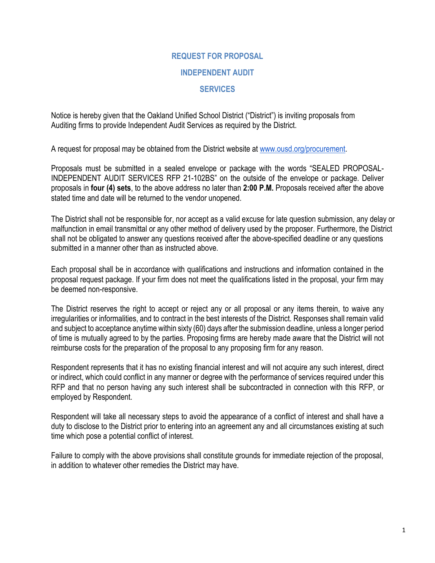# **REQUEST FOR PROPOSAL**

#### **INDEPENDENT AUDIT**

#### **SERVICES**

Notice is hereby given that the Oakland Unified School District ("District") is inviting proposals from Auditing firms to provide Independent Audit Services as required by the District.

A request for proposal may be obtained from the District website at [www.ousd.org/procurement.](http://www.ousd.org/procurement)

Proposals must be submitted in a sealed envelope or package with the words "SEALED PROPOSAL-INDEPENDENT AUDIT SERVICES RFP 21-102BS" on the outside of the envelope or package. Deliver proposals in **four (4) sets**, to the above address no later than **2:00 P.M.** Proposals received after the above stated time and date will be returned to the vendor unopened.

The District shall not be responsible for, nor accept as a valid excuse for late question submission, any delay or malfunction in email transmittal or any other method of delivery used by the proposer. Furthermore, the District shall not be obligated to answer any questions received after the above-specified deadline or any questions submitted in a manner other than as instructed above.

Each proposal shall be in accordance with qualifications and instructions and information contained in the proposal request package. If your firm does not meet the qualifications listed in the proposal, your firm may be deemed non-responsive.

The District reserves the right to accept or reject any or all proposal or any items therein, to waive any irregularities or informalities, and to contract in the best interests of the District. Responses shall remain valid and subject to acceptance anytime within sixty (60) days after the submission deadline, unless a longer period of time is mutually agreed to by the parties. Proposing firms are hereby made aware that the District will not reimburse costs for the preparation of the proposal to any proposing firm for any reason.

Respondent represents that it has no existing financial interest and will not acquire any such interest, direct or indirect, which could conflict in any manner or degree with the performance of services required under this RFP and that no person having any such interest shall be subcontracted in connection with this RFP, or employed by Respondent.

Respondent will take all necessary steps to avoid the appearance of a conflict of interest and shall have a duty to disclose to the District prior to entering into an agreement any and all circumstances existing at such time which pose a potential conflict of interest.

Failure to comply with the above provisions shall constitute grounds for immediate rejection of the proposal, in addition to whatever other remedies the District may have.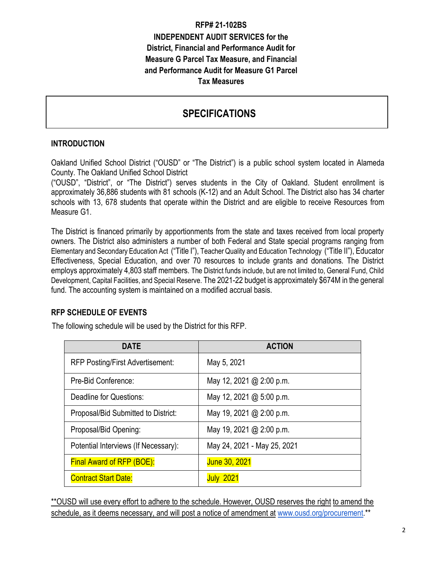# **RFP# 21-102BS INDEPENDENT AUDIT SERVICES for the District, Financial and Performance Audit for Measure G Parcel Tax Measure, and Financial and Performance Audit for Measure G1 Parcel Tax Measures**

# **SPECIFICATIONS**

# **INTRODUCTION**

Oakland Unified School District ("OUSD" or "The District") is a public school system located in Alameda County. The Oakland Unified School District

("OUSD", "District", or "The District") serves students in the City of Oakland. Student enrollment is approximately 36,886 students with 81 schools (K-12) and an Adult School. The District also has 34 charter schools with 13, 678 students that operate within the District and are eligible to receive Resources from Measure G1.

The District is financed primarily by apportionments from the state and taxes received from local property owners. The District also administers a number of both Federal and State special programs ranging from Elementary and Secondary Education Act ("Title I"), Teacher Quality and Education Technology ("Title II"), Educator Effectiveness, Special Education, and over 70 resources to include grants and donations. The District employs approximately 4,803 staff members. The District funds include, but are not limited to, General Fund, Child Development, Capital Facilities, and Special Reserve. The 2021-22 budget is approximately \$674M in the general fund. The accounting system is maintained on a modified accrual basis.

#### **RFP SCHEDULE OF EVENTS**

The following schedule will be used by the District for this RFP.

| <b>DATE</b>                             | <b>ACTION</b>               |
|-----------------------------------------|-----------------------------|
| <b>RFP Posting/First Advertisement:</b> | May 5, 2021                 |
| Pre-Bid Conference:                     | May 12, 2021 @ 2:00 p.m.    |
| Deadline for Questions:                 | May 12, 2021 @ 5:00 p.m.    |
| Proposal/Bid Submitted to District:     | May 19, 2021 @ 2:00 p.m.    |
| Proposal/Bid Opening:                   | May 19, 2021 @ 2:00 p.m.    |
| Potential Interviews (If Necessary):    | May 24, 2021 - May 25, 2021 |
| <b>Final Award of RFP (BOE):</b>        | June 30, 2021               |
| <b>Contract Start Date:</b>             | <b>July 2021</b>            |

\*\*OUSD will use every effort to adhere to the schedule. However, OUSD reserves the right to amend the schedule, as it deems necessary, and will post a notice of amendment at [www.ousd.org/procurement.](http://www.ousd.org/procurement)\*\*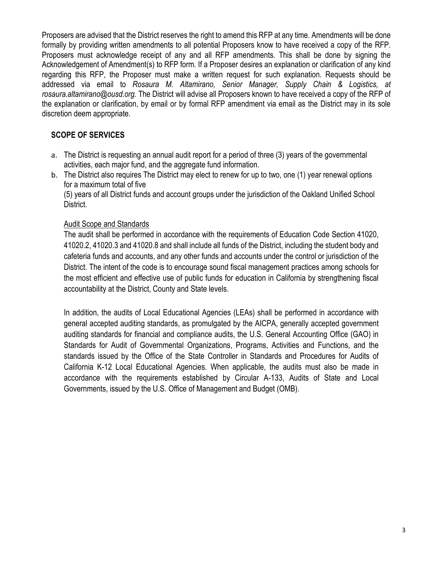Proposers are advised that the District reserves the right to amend this RFP at any time. Amendments will be done formally by providing written amendments to all potential Proposers know to have received a copy of the RFP. Proposers must acknowledge receipt of any and all RFP amendments. This shall be done by signing the Acknowledgement of Amendment(s) to RFP form. If a Proposer desires an explanation or clarification of any kind regarding this RFP, the Proposer must make a written request for such explanation. Requests should be addressed via email to *Rosaura M. Altamirano, Senior Manager, Supply Chain & Logistics, at rosaura.altamirano@ousd.org.* The District will advise all Proposers known to have received a copy of the RFP of the explanation or clarification, by email or by formal RFP amendment via email as the District may in its sole discretion deem appropriate.

## **SCOPE OF SERVICES**

- a. The District is requesting an annual audit report for a period of three (3) years of the governmental activities, each major fund, and the aggregate fund information.
- b. The District also requires The District may elect to renew for up to two, one (1) year renewal options for a maximum total of five

(5) years of all District funds and account groups under the jurisdiction of the Oakland Unified School District.

#### Audit Scope and Standards

The audit shall be performed in accordance with the requirements of Education Code Section 41020, 41020.2, 41020.3 and 41020.8 and shall include all funds of the District, including the student body and cafeteria funds and accounts, and any other funds and accounts under the control or jurisdiction of the District. The intent of the code is to encourage sound fiscal management practices among schools for the most efficient and effective use of public funds for education in California by strengthening fiscal accountability at the District, County and State levels.

In addition, the audits of Local Educational Agencies (LEAs) shall be performed in accordance with general accepted auditing standards, as promulgated by the AICPA, generally accepted government auditing standards for financial and compliance audits, the U.S. General Accounting Office (GAO) in Standards for Audit of Governmental Organizations, Programs, Activities and Functions, and the standards issued by the Office of the State Controller in Standards and Procedures for Audits of California K-12 Local Educational Agencies. When applicable, the audits must also be made in accordance with the requirements established by Circular A-133, Audits of State and Local Governments, issued by the U.S. Office of Management and Budget (OMB).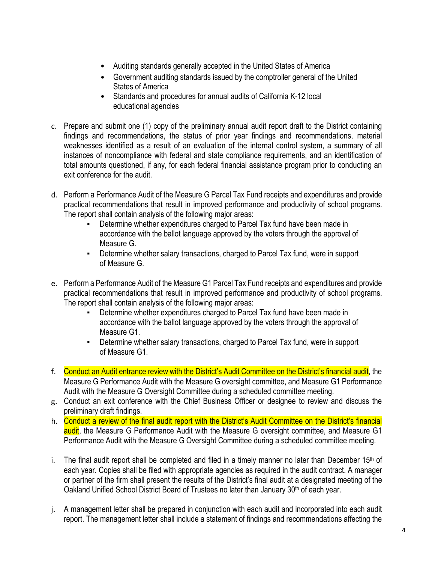- Auditing standards generally accepted in the United States of America
- Government auditing standards issued by the comptroller general of the United States of America
- Standards and procedures for annual audits of California K-12 local educational agencies
- c. Prepare and submit one (1) copy of the preliminary annual audit report draft to the District containing findings and recommendations, the status of prior year findings and recommendations, material weaknesses identified as a result of an evaluation of the internal control system, a summary of all instances of noncompliance with federal and state compliance requirements, and an identification of total amounts questioned, if any, for each federal financial assistance program prior to conducting an exit conference for the audit
- d. Perform a Performance Audit of the Measure G Parcel Tax Fund receipts and expenditures and provide practical recommendations that result in improved performance and productivity of school programs. The report shall contain analysis of the following major areas:
	- Determine whether expenditures charged to Parcel Tax fund have been made in accordance with the ballot language approved by the voters through the approval of Measure G.
	- Determine whether salary transactions, charged to Parcel Tax fund, were in support of Measure G.
- e. Perform a Performance Audit of the Measure G1 Parcel Tax Fund receipts and expenditures and provide practical recommendations that result in improved performance and productivity of school programs. The report shall contain analysis of the following major areas:
	- Determine whether expenditures charged to Parcel Tax fund have been made in accordance with the ballot language approved by the voters through the approval of Measure G1.
	- Determine whether salary transactions, charged to Parcel Tax fund, were in support of Measure G1.
- f. Conduct an Audit entrance review with the District's Audit Committee on the District's financial audit, the Measure G Performance Audit with the Measure G oversight committee, and Measure G1 Performance Audit with the Measure G Oversight Committee during a scheduled committee meeting.
- g. Conduct an exit conference with the Chief Business Officer or designee to review and discuss the preliminary draft findings.
- h. Conduct a review of the final audit report with the District's Audit Committee on the District's financial audit, the Measure G Performance Audit with the Measure G oversight committee, and Measure G1 Performance Audit with the Measure G Oversight Committee during a scheduled committee meeting.
- i. The final audit report shall be completed and filed in a timely manner no later than December 15<sup>th</sup> of each year. Copies shall be filed with appropriate agencies as required in the audit contract. A manager or partner of the firm shall present the results of the District's final audit at a designated meeting of the Oakland Unified School District Board of Trustees no later than January 30<sup>th</sup> of each year.
- j. A management letter shall be prepared in conjunction with each audit and incorporated into each audit report. The management letter shall include a statement of findings and recommendations affecting the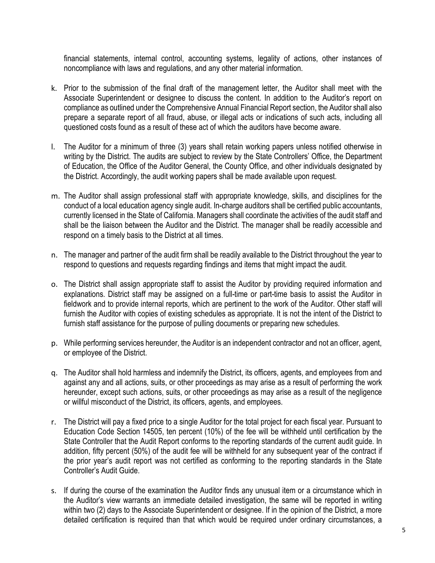financial statements, internal control, accounting systems, legality of actions, other instances of noncompliance with laws and regulations, and any other material information.

- k. Prior to the submission of the final draft of the management letter, the Auditor shall meet with the Associate Superintendent or designee to discuss the content. In addition to the Auditor's report on compliance as outlined under the Comprehensive Annual Financial Report section, the Auditor shall also prepare a separate report of all fraud, abuse, or illegal acts or indications of such acts, including all questioned costs found as a result of these act of which the auditors have become aware.
- l. The Auditor for a minimum of three (3) years shall retain working papers unless notified otherwise in writing by the District. The audits are subject to review by the State Controllers' Office, the Department of Education, the Office of the Auditor General, the County Office, and other individuals designated by the District. Accordingly, the audit working papers shall be made available upon request.
- m. The Auditor shall assign professional staff with appropriate knowledge, skills, and disciplines for the conduct of a local education agency single audit. In-charge auditors shall be certified public accountants, currently licensed in the State of California. Managers shall coordinate the activities of the audit staff and shall be the liaison between the Auditor and the District. The manager shall be readily accessible and respond on a timely basis to the District at all times.
- n. The manager and partner of the audit firm shall be readily available to the District throughout the year to respond to questions and requests regarding findings and items that might impact the audit.
- o. The District shall assign appropriate staff to assist the Auditor by providing required information and explanations. District staff may be assigned on a full-time or part-time basis to assist the Auditor in fieldwork and to provide internal reports, which are pertinent to the work of the Auditor. Other staff will furnish the Auditor with copies of existing schedules as appropriate. It is not the intent of the District to furnish staff assistance for the purpose of pulling documents or preparing new schedules.
- p. While performing services hereunder, the Auditor is an independent contractor and not an officer, agent, or employee of the District.
- q. The Auditor shall hold harmless and indemnify the District, its officers, agents, and employees from and against any and all actions, suits, or other proceedings as may arise as a result of performing the work hereunder, except such actions, suits, or other proceedings as may arise as a result of the negligence or willful misconduct of the District, its officers, agents, and employees.
- r. The District will pay a fixed price to a single Auditor for the total project for each fiscal year. Pursuant to Education Code Section 14505, ten percent (10%) of the fee will be withheld until certification by the State Controller that the Audit Report conforms to the reporting standards of the current audit guide. In addition, fifty percent (50%) of the audit fee will be withheld for any subsequent year of the contract if the prior year's audit report was not certified as conforming to the reporting standards in the State Controller's Audit Guide.
- s. If during the course of the examination the Auditor finds any unusual item or a circumstance which in the Auditor's view warrants an immediate detailed investigation, the same will be reported in writing within two (2) days to the Associate Superintendent or designee. If in the opinion of the District, a more detailed certification is required than that which would be required under ordinary circumstances, a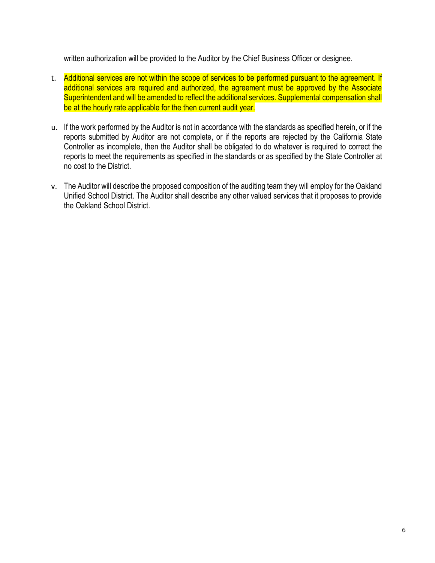written authorization will be provided to the Auditor by the Chief Business Officer or designee.

- t. Additional services are not within the scope of services to be performed pursuant to the agreement. If additional services are required and authorized, the agreement must be approved by the Associate Superintendent and will be amended to reflect the additional services. Supplemental compensation shall be at the hourly rate applicable for the then current audit year.
- u. If the work performed by the Auditor is not in accordance with the standards as specified herein, or if the reports submitted by Auditor are not complete, or if the reports are rejected by the California State Controller as incomplete, then the Auditor shall be obligated to do whatever is required to correct the reports to meet the requirements as specified in the standards or as specified by the State Controller at no cost to the District.
- v. The Auditor will describe the proposed composition of the auditing team they will employ for the Oakland Unified School District. The Auditor shall describe any other valued services that it proposes to provide the Oakland School District.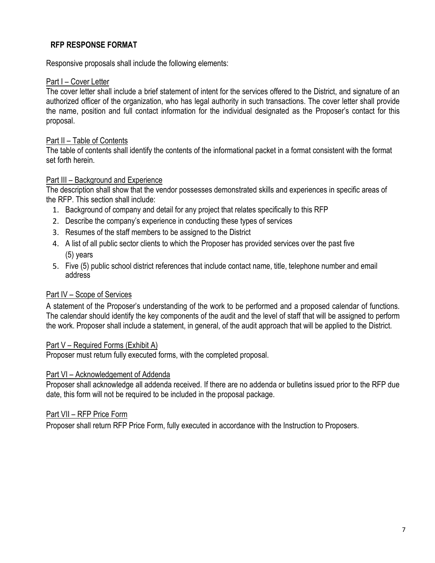#### **RFP RESPONSE FORMAT**

Responsive proposals shall include the following elements:

#### Part I – Cover Letter

The cover letter shall include a brief statement of intent for the services offered to the District, and signature of an authorized officer of the organization, who has legal authority in such transactions. The cover letter shall provide the name, position and full contact information for the individual designated as the Proposer's contact for this proposal.

#### Part II – Table of Contents

The table of contents shall identify the contents of the informational packet in a format consistent with the format set forth herein.

#### Part III – Background and Experience

The description shall show that the vendor possesses demonstrated skills and experiences in specific areas of the RFP. This section shall include:

- 1. Background of company and detail for any project that relates specifically to this RFP
- 2. Describe the company's experience in conducting these types of services
- 3. Resumes of the staff members to be assigned to the District
- 4. A list of all public sector clients to which the Proposer has provided services over the past five (5) years
- 5. Five (5) public school district references that include contact name, title, telephone number and email address

#### Part IV – Scope of Services

A statement of the Proposer's understanding of the work to be performed and a proposed calendar of functions. The calendar should identify the key components of the audit and the level of staff that will be assigned to perform the work. Proposer shall include a statement, in general, of the audit approach that will be applied to the District.

#### Part V – Required Forms (Exhibit A)

Proposer must return fully executed forms, with the completed proposal.

#### Part VI - Acknowledgement of Addenda

Proposer shall acknowledge all addenda received. If there are no addenda or bulletins issued prior to the RFP due date, this form will not be required to be included in the proposal package.

#### Part VII – RFP Price Form

Proposer shall return RFP Price Form, fully executed in accordance with the Instruction to Proposers.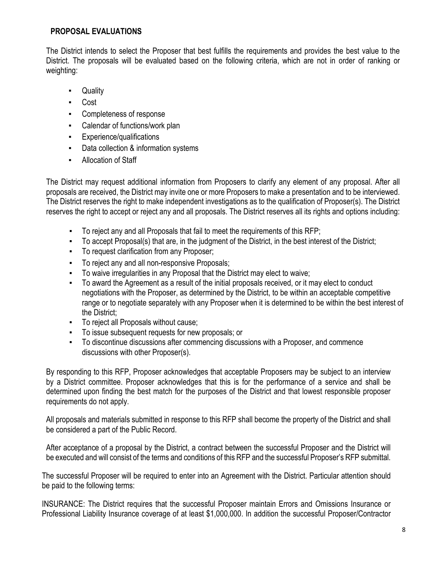#### **PROPOSAL EVALUATIONS**

The District intends to select the Proposer that best fulfills the requirements and provides the best value to the District. The proposals will be evaluated based on the following criteria, which are not in order of ranking or weighting:

- Quality
- Cost
- Completeness of response
- Calendar of functions/work plan
- Experience/qualifications
- Data collection & information systems
- Allocation of Staff

The District may request additional information from Proposers to clarify any element of any proposal. After all proposals are received, the District may invite one or more Proposers to make a presentation and to be interviewed. The District reserves the right to make independent investigations as to the qualification of Proposer(s). The District reserves the right to accept or reject any and all proposals. The District reserves all its rights and options including:

- To reject any and all Proposals that fail to meet the requirements of this RFP;
- To accept Proposal(s) that are, in the judgment of the District, in the best interest of the District;
- To request clarification from any Proposer;
- To reject any and all non-responsive Proposals;
- To waive irregularities in any Proposal that the District may elect to waive;
- To award the Agreement as a result of the initial proposals received, or it may elect to conduct negotiations with the Proposer, as determined by the District, to be within an acceptable competitive range or to negotiate separately with any Proposer when it is determined to be within the best interest of the District;
- To reject all Proposals without cause;
- To issue subsequent requests for new proposals; or
- To discontinue discussions after commencing discussions with a Proposer, and commence discussions with other Proposer(s).

By responding to this RFP, Proposer acknowledges that acceptable Proposers may be subject to an interview by a District committee. Proposer acknowledges that this is for the performance of a service and shall be determined upon finding the best match for the purposes of the District and that lowest responsible proposer requirements do not apply.

All proposals and materials submitted in response to this RFP shall become the property of the District and shall be considered a part of the Public Record.

After acceptance of a proposal by the District, a contract between the successful Proposer and the District will be executed and will consist of the terms and conditions of this RFP and the successful Proposer's RFP submittal.

The successful Proposer will be required to enter into an Agreement with the District. Particular attention should be paid to the following terms:

INSURANCE: The District requires that the successful Proposer maintain Errors and Omissions Insurance or Professional Liability Insurance coverage of at least \$1,000,000. In addition the successful Proposer/Contractor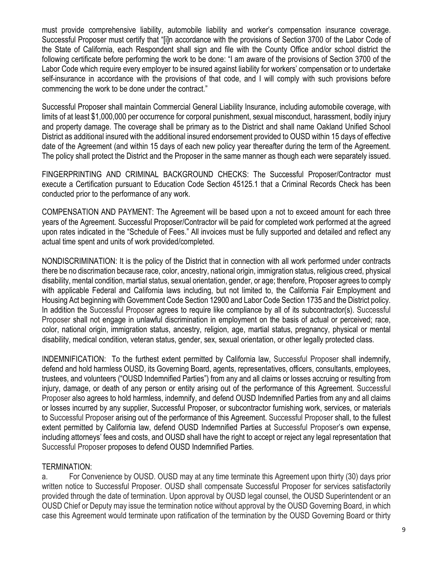must provide comprehensive liability, automobile liability and worker's compensation insurance coverage. Successful Proposer must certify that "[i]n accordance with the provisions of Section 3700 of the Labor Code of the State of California, each Respondent shall sign and file with the County Office and/or school district the following certificate before performing the work to be done: "I am aware of the provisions of Section 3700 of the Labor Code which require every employer to be insured against liability for workers' compensation or to undertake self-insurance in accordance with the provisions of that code, and I will comply with such provisions before commencing the work to be done under the contract."

Successful Proposer shall maintain Commercial General Liability Insurance, including automobile coverage, with limits of at least \$1,000,000 per occurrence for corporal punishment, sexual misconduct, harassment, bodily injury and property damage. The coverage shall be primary as to the District and shall name Oakland Unified School District as additional insured with the additional insured endorsement provided to OUSD within 15 days of effective date of the Agreement (and within 15 days of each new policy year thereafter during the term of the Agreement. The policy shall protect the District and the Proposer in the same manner as though each were separately issued.

FINGERPRINTING AND CRIMINAL BACKGROUND CHECKS: The Successful Proposer/Contractor must execute a Certification pursuant to Education Code Section 45125.1 that a Criminal Records Check has been conducted prior to the performance of any work.

COMPENSATION AND PAYMENT: The Agreement will be based upon a not to exceed amount for each three years of the Agreement. Successful Proposer/Contractor will be paid for completed work performed at the agreed upon rates indicated in the "Schedule of Fees." All invoices must be fully supported and detailed and reflect any actual time spent and units of work provided/completed.

NONDISCRIMINATION: It is the policy of the District that in connection with all work performed under contracts there be no discrimation because race, color, ancestry, national origin, immigration status, religious creed, physical disability, mental condition, martial status, sexual orientation, gender, or age; therefore, Proposer agrees to comply with applicable Federal and California laws including, but not limited to, the California Fair Employment and Housing Act beginning with Government Code Section 12900 and Labor Code Section 1735 and the District policy. In addition the Successful Proposer agrees to require like compliance by all of its subcontractor(s). Successful Proposer shall not engage in unlawful discrimination in employment on the basis of actual or perceived; race, color, national origin, immigration status, ancestry, religion, age, martial status, pregnancy, physical or mental disability, medical condition, veteran status, gender, sex, sexual orientation, or other legally protected class.

INDEMNIFICATION: To the furthest extent permitted by California law, Successful Proposer shall indemnify, defend and hold harmless OUSD, its Governing Board, agents, representatives, officers, consultants, employees, trustees, and volunteers ("OUSD Indemnified Parties") from any and all claims or losses accruing or resulting from injury, damage, or death of any person or entity arising out of the performance of this Agreement. Successful Proposer also agrees to hold harmless, indemnify, and defend OUSD Indemnified Parties from any and all claims or losses incurred by any supplier, Successful Proposer, or subcontractor furnishing work, services, or materials to Successful Proposer arising out of the performance of this Agreement. Successful Proposer shall, to the fullest extent permitted by California law, defend OUSD Indemnified Parties at Successful Proposer's own expense, including attorneys' fees and costs, and OUSD shall have the right to accept or reject any legal representation that Successful Proposer proposes to defend OUSD Indemnified Parties.

#### TERMINATION:

a. For Convenience by OUSD. OUSD may at any time terminate this Agreement upon thirty (30) days prior written notice to Successful Proposer. OUSD shall compensate Successful Proposer for services satisfactorily provided through the date of termination. Upon approval by OUSD legal counsel, the OUSD Superintendent or an OUSD Chief or Deputy may issue the termination notice without approval by the OUSD Governing Board, in which case this Agreement would terminate upon ratification of the termination by the OUSD Governing Board or thirty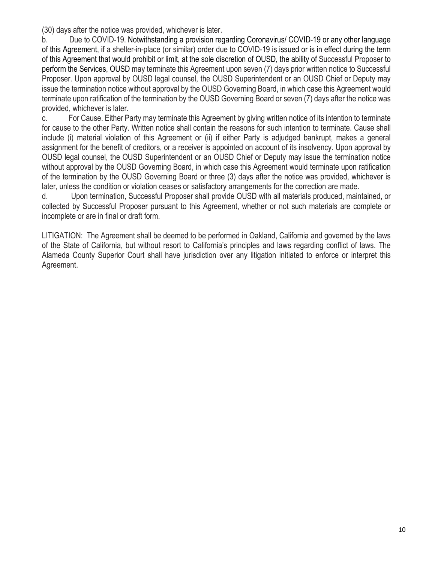(30) days after the notice was provided, whichever is later.

b. Due to COVID-19. Notwithstanding a provision regarding Coronavirus/ COVID-19 or any other language of this Agreement, if a shelter-in-place (or similar) order due to COVID-19 is issued or is in effect during the term of this Agreement that would prohibit or limit, at the sole discretion of OUSD, the ability of Successful Proposer to perform the Services, OUSD may terminate this Agreement upon seven (7) days prior written notice to Successful Proposer. Upon approval by OUSD legal counsel, the OUSD Superintendent or an OUSD Chief or Deputy may issue the termination notice without approval by the OUSD Governing Board, in which case this Agreement would terminate upon ratification of the termination by the OUSD Governing Board or seven (7) days after the notice was provided, whichever is later.

c. For Cause. Either Party may terminate this Agreement by giving written notice of its intention to terminate for cause to the other Party. Written notice shall contain the reasons for such intention to terminate. Cause shall include (i) material violation of this Agreement or (ii) if either Party is adjudged bankrupt, makes a general assignment for the benefit of creditors, or a receiver is appointed on account of its insolvency. Upon approval by OUSD legal counsel, the OUSD Superintendent or an OUSD Chief or Deputy may issue the termination notice without approval by the OUSD Governing Board, in which case this Agreement would terminate upon ratification of the termination by the OUSD Governing Board or three (3) days after the notice was provided, whichever is later, unless the condition or violation ceases or satisfactory arrangements for the correction are made.

d. Upon termination, Successful Proposer shall provide OUSD with all materials produced, maintained, or collected by Successful Proposer pursuant to this Agreement, whether or not such materials are complete or incomplete or are in final or draft form.

LITIGATION: The Agreement shall be deemed to be performed in Oakland, California and governed by the laws of the State of California, but without resort to California's principles and laws regarding conflict of laws. The Alameda County Superior Court shall have jurisdiction over any litigation initiated to enforce or interpret this Agreement.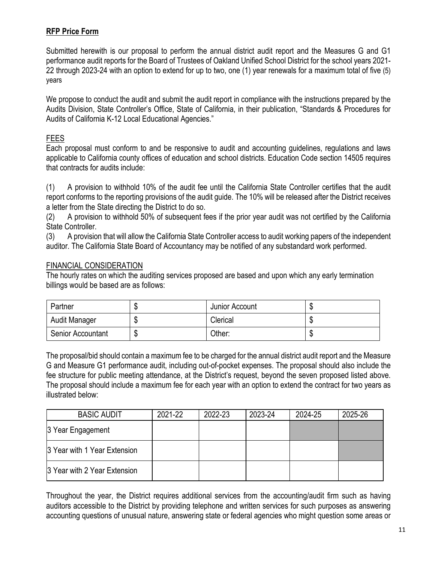# **RFP Price Form**

Submitted herewith is our proposal to perform the annual district audit report and the Measures G and G1 performance audit reports for the Board of Trustees of Oakland Unified School District for the school years 2021- 22 through 2023-24 with an option to extend for up to two, one (1) year renewals for a maximum total of five (5) years

We propose to conduct the audit and submit the audit report in compliance with the instructions prepared by the Audits Division, State Controller's Office, State of California, in their publication, "Standards & Procedures for Audits of California K-12 Local Educational Agencies."

# FEES

Each proposal must conform to and be responsive to audit and accounting guidelines, regulations and laws applicable to California county offices of education and school districts. Education Code section 14505 requires that contracts for audits include:

(1) A provision to withhold 10% of the audit fee until the California State Controller certifies that the audit report conforms to the reporting provisions of the audit guide. The 10% will be released after the District receives a letter from the State directing the District to do so.

(2) A provision to withhold 50% of subsequent fees if the prior year audit was not certified by the California State Controller.

(3) A provision that will allow the California State Controller access to audit working papers of the independent auditor. The California State Board of Accountancy may be notified of any substandard work performed.

#### FINANCIAL CONSIDERATION

The hourly rates on which the auditing services proposed are based and upon which any early termination billings would be based are as follows:

| Partner                  |         | Junior Account |  |
|--------------------------|---------|----------------|--|
| Audit Manager            | κIJ     | Clerical       |  |
| <b>Senior Accountant</b> | œ<br>۰D | ⊃ther:         |  |

The proposal/bid should contain a maximum fee to be charged for the annual district audit report and the Measure G and Measure G1 performance audit, including out-of-pocket expenses. The proposal should also include the fee structure for public meeting attendance, at the District's request, beyond the seven proposed listed above. The proposal should include a maximum fee for each year with an option to extend the contract for two years as illustrated below:

| <b>BASIC AUDIT</b>           | 2021-22 | 2022-23 | 2023-24 | 2024-25 | 2025-26 |
|------------------------------|---------|---------|---------|---------|---------|
| 3 Year Engagement            |         |         |         |         |         |
| 3 Year with 1 Year Extension |         |         |         |         |         |
| 3 Year with 2 Year Extension |         |         |         |         |         |

Throughout the year, the District requires additional services from the accounting/audit firm such as having auditors accessible to the District by providing telephone and written services for such purposes as answering accounting questions of unusual nature, answering state or federal agencies who might question some areas or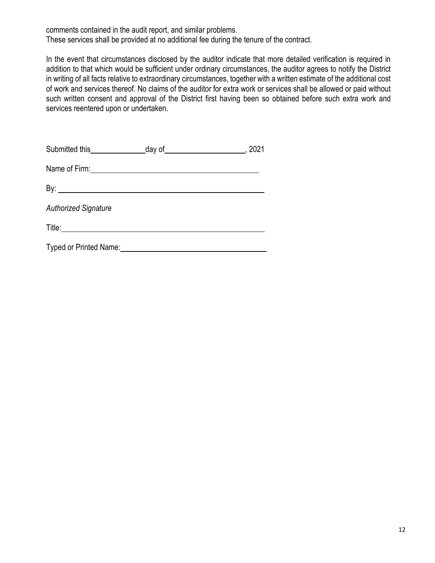comments contained in the audit report, and similar problems.

These services shall be provided at no additional fee during the tenure of the contract.

In the event that circumstances disclosed by the auditor indicate that more detailed verification is required in addition to that which would be sufficient under ordinary circumstances, the auditor agrees to notify the District in writing of all facts relative to extraordinary circumstances, together with a written estimate of the additional cost of work and services thereof. No claims of the auditor for extra work or services shall be allowed or paid without such written consent and approval of the District first having been so obtained before such extra work and services reentered upon or undertaken.

| <b>Authorized Signature</b> |  |
|-----------------------------|--|
|                             |  |
| Typed or Printed Name:      |  |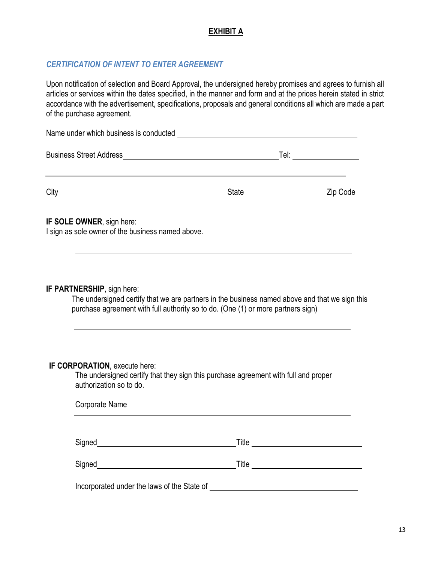# **EXHIBIT A**

# *CERTIFICATION OF INTENT TO ENTER AGREEMENT*

Upon notification of selection and Board Approval, the undersigned hereby promises and agrees to furnish all articles or services within the dates specified, in the manner and form and at the prices herein stated in strict accordance with the advertisement, specifications, proposals and general conditions all which are made a part of the purchase agreement.

| Name under which business is conducted                                         |              |          |
|--------------------------------------------------------------------------------|--------------|----------|
| <b>Business Street Address</b>                                                 |              | Tel:     |
| City                                                                           | <b>State</b> | Zip Code |
| IF SOLE OWNER, sign here:<br>I sign as sole owner of the business named above. |              |          |

#### **IF PARTNERSHIP**, sign here:

The undersigned certify that we are partners in the business named above and that we sign this purchase agreement with full authority so to do. (One (1) or more partners sign)

#### **IF CORPORATION**, execute here:

The undersigned certify that they sign this purchase agreement with full and proper authorization so to do.

| Corporate Name                              |       |
|---------------------------------------------|-------|
|                                             |       |
| Signed                                      | Title |
| Signed                                      | Title |
| Incorporated under the laws of the State of |       |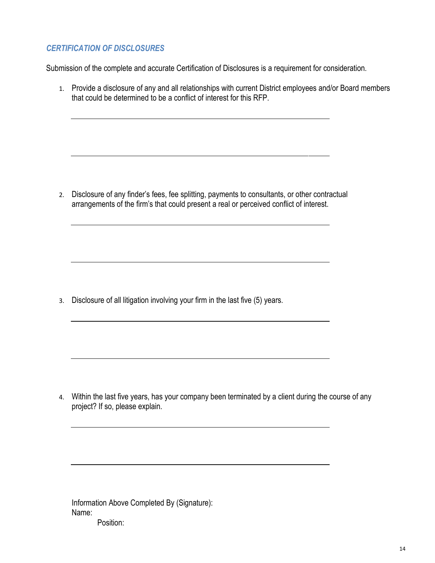# *CERTIFICATION OF DISCLOSURES*

Submission of the complete and accurate Certification of Disclosures is a requirement for consideration.

1. Provide a disclosure of any and all relationships with current District employees and/or Board members that could be determined to be a conflict of interest for this RFP.

2. Disclosure of any finder's fees, fee splitting, payments to consultants, or other contractual arrangements of the firm's that could present a real or perceived conflict of interest.

3. Disclosure of all litigation involving your firm in the last five (5) years.

4. Within the last five years, has your company been terminated by a client during the course of any project? If so, please explain.

Information Above Completed By (Signature): Name: Position: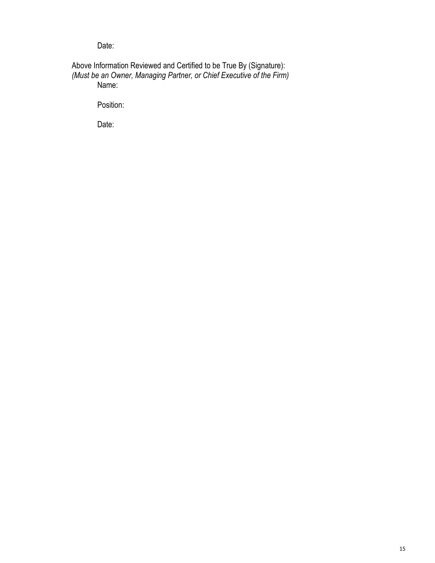Date:

Above Information Reviewed and Certified to be True By (Signature): *(Must be an Owner, Managing Partner, or Chief Executive of the Firm)* Name:

Position:

Date: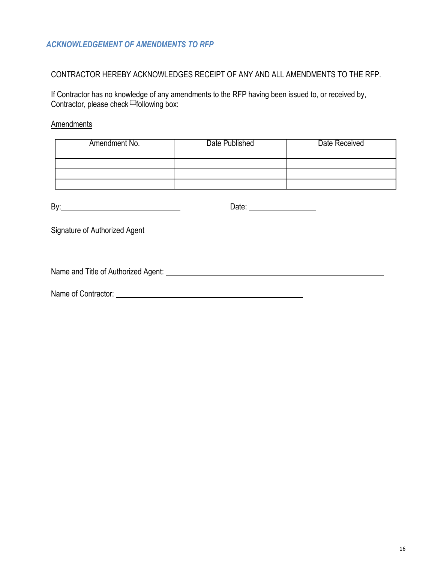## *ACKNOWLEDGEMENT OF AMENDMENTS TO RFP*

# CONTRACTOR HEREBY ACKNOWLEDGES RECEIPT OF ANY AND ALL AMENDMENTS TO THE RFP.

If Contractor has no knowledge of any amendments to the RFP having been issued to, or received by, Contractor, please check Following box:

#### **Amendments**

| Amendment No. | Date Published | Date Received |
|---------------|----------------|---------------|
|               |                |               |
|               |                |               |
|               |                |               |
|               |                |               |

|                                                                         | Date: ___________________ |  |
|-------------------------------------------------------------------------|---------------------------|--|
| Signature of Authorized Agent                                           |                           |  |
| Name and Title of Authorized Agent: Name and Title of Authorized Agent: |                           |  |

Name of Contractor: Name of Contractor: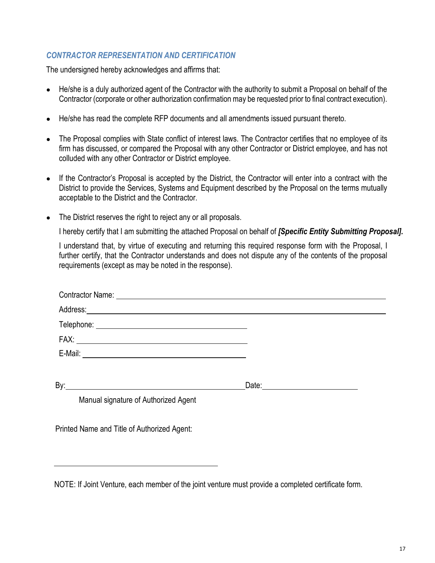# *CONTRACTOR REPRESENTATION AND CERTIFICATION*

The undersigned hereby acknowledges and affirms that:

- He/she is a duly authorized agent of the Contractor with the authority to submit a Proposal on behalf of the Contractor (corporate or other authorization confirmation may be requested prior to final contract execution).
- He/she has read the complete RFP documents and all amendments issued pursuant thereto.
- The Proposal complies with State conflict of interest laws. The Contractor certifies that no employee of its firm has discussed, or compared the Proposal with any other Contractor or District employee, and has not colluded with any other Contractor or District employee.
- If the Contractor's Proposal is accepted by the District, the Contractor will enter into a contract with the District to provide the Services, Systems and Equipment described by the Proposal on the terms mutually acceptable to the District and the Contractor.
- The District reserves the right to reject any or all proposals.

I hereby certify that I am submitting the attached Proposal on behalf of *[Specific Entity Submitting Proposal].*

I understand that, by virtue of executing and returning this required response form with the Proposal, I further certify, that the Contractor understands and does not dispute any of the contents of the proposal requirements (except as may be noted in the response).

| Manual signature of Authorized Agent |  |
|--------------------------------------|--|

Printed Name and Title of Authorized Agent:

NOTE: If Joint Venture, each member of the joint venture must provide a completed certificate form.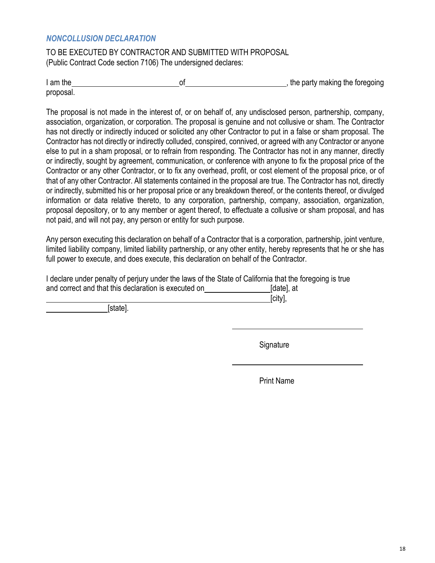#### *NONCOLLUSION DECLARATION*

TO BE EXECUTED BY CONTRACTOR AND SUBMITTED WITH PROPOSAL (Public Contract Code section 7106) The undersigned declares:

I am the state of the party making the foregoing is a state of the party making the foregoing proposal.

The proposal is not made in the interest of, or on behalf of, any undisclosed person, partnership, company, association, organization, or corporation. The proposal is genuine and not collusive or sham. The Contractor has not directly or indirectly induced or solicited any other Contractor to put in a false or sham proposal. The Contractor has not directly or indirectly colluded, conspired, connived, or agreed with any Contractor or anyone else to put in a sham proposal, or to refrain from responding. The Contractor has not in any manner, directly or indirectly, sought by agreement, communication, or conference with anyone to fix the proposal price of the Contractor or any other Contractor, or to fix any overhead, profit, or cost element of the proposal price, or of that of any other Contractor. All statements contained in the proposal are true. The Contractor has not, directly or indirectly, submitted his or her proposal price or any breakdown thereof, or the contents thereof, or divulged information or data relative thereto, to any corporation, partnership, company, association, organization, proposal depository, or to any member or agent thereof, to effectuate a collusive or sham proposal, and has not paid, and will not pay, any person or entity for such purpose.

Any person executing this declaration on behalf of a Contractor that is a corporation, partnership, joint venture, limited liability company, limited liability partnership, or any other entity, hereby represents that he or she has full power to execute, and does execute, this declaration on behalf of the Contractor.

| I declare under penalty of perjury under the laws of the State of California that the foregoing is true |            |
|---------------------------------------------------------------------------------------------------------|------------|
| and correct and that this declaration is executed on                                                    | [date], at |

[city],

[state].

**Signature** 

Print Name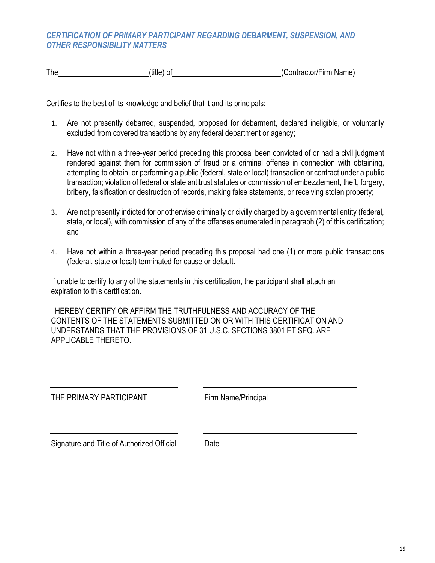#### *CERTIFICATION OF PRIMARY PARTICIPANT REGARDING DEBARMENT, SUSPENSION, AND OTHER RESPONSIBILITY MATTERS*

The (title) of (title) of (Contractor/Firm Name)

Certifies to the best of its knowledge and belief that it and its principals:

- 1. Are not presently debarred, suspended, proposed for debarment, declared ineligible, or voluntarily excluded from covered transactions by any federal department or agency;
- 2. Have not within a three-year period preceding this proposal been convicted of or had a civil judgment rendered against them for commission of fraud or a criminal offense in connection with obtaining, attempting to obtain, or performing a public (federal, state or local) transaction or contract under a public transaction; violation of federal or state antitrust statutes or commission of embezzlement, theft, forgery, bribery, falsification or destruction of records, making false statements, or receiving stolen property;
- 3. Are not presently indicted for or otherwise criminally or civilly charged by a governmental entity (federal, state, or local), with commission of any of the offenses enumerated in paragraph (2) of this certification; and
- 4. Have not within a three-year period preceding this proposal had one (1) or more public transactions (federal, state or local) terminated for cause or default.

If unable to certify to any of the statements in this certification, the participant shall attach an expiration to this certification.

I HEREBY CERTIFY OR AFFIRM THE TRUTHFULNESS AND ACCURACY OF THE CONTENTS OF THE STATEMENTS SUBMITTED ON OR WITH THIS CERTIFICATION AND UNDERSTANDS THAT THE PROVISIONS OF 31 U.S.C. SECTIONS 3801 ET SEQ. ARE APPLICABLE THERETO.

THE PRIMARY PARTICIPANT Firm Name/Principal

Signature and Title of Authorized Official Date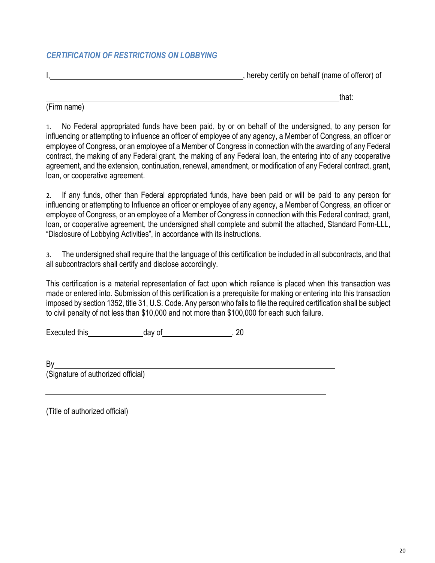#### *CERTIFICATION OF RESTRICTIONS ON LOBBYING*

I, thereby certify on behalf (name of offeror) of

that:

(Firm name)

1. No Federal appropriated funds have been paid, by or on behalf of the undersigned, to any person for influencing or attempting to influence an officer of employee of any agency, a Member of Congress, an officer or employee of Congress, or an employee of a Member of Congress in connection with the awarding of any Federal contract, the making of any Federal grant, the making of any Federal loan, the entering into of any cooperative agreement, and the extension, continuation, renewal, amendment, or modification of any Federal contract, grant, loan, or cooperative agreement.

2. If any funds, other than Federal appropriated funds, have been paid or will be paid to any person for influencing or attempting to Influence an officer or employee of any agency, a Member of Congress, an officer or employee of Congress, or an employee of a Member of Congress in connection with this Federal contract, grant, loan, or cooperative agreement, the undersigned shall complete and submit the attached, Standard Form-LLL, "Disclosure of Lobbying Activities", in accordance with its instructions.

3. The undersigned shall require that the language of this certification be included in all subcontracts, and that all subcontractors shall certify and disclose accordingly.

This certification is a material representation of fact upon which reliance is placed when this transaction was made or entered into. Submission of this certification is a prerequisite for making or entering into this transaction imposed by section 1352, title 31, U.S. Code. Any person who fails to file the required certification shall be subject to civil penalty of not less than \$10,000 and not more than \$100,000 for each such failure.

Executed this day of the control of the secure day of the security of the security of the security of  $\sim$ 

| Βy                                 |  |  |
|------------------------------------|--|--|
| (Signature of authorized official) |  |  |

(Title of authorized official)